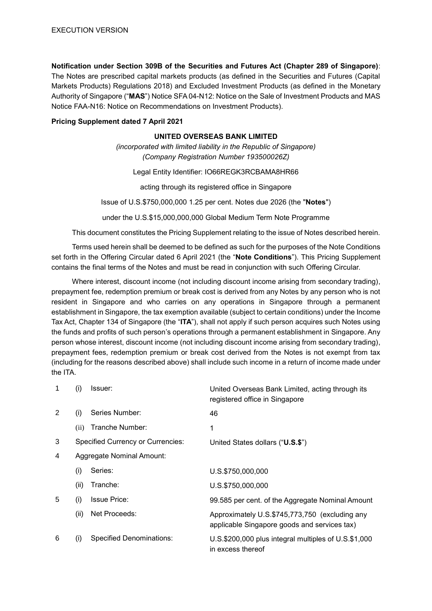**Notification under Section 309B of the Securities and Futures Act (Chapter 289 of Singapore)**: The Notes are prescribed capital markets products (as defined in the Securities and Futures (Capital Markets Products) Regulations 2018) and Excluded Investment Products (as defined in the Monetary Authority of Singapore ("**MAS**") Notice SFA 04-N12: Notice on the Sale of Investment Products and MAS Notice FAA-N16: Notice on Recommendations on Investment Products).

### **Pricing Supplement dated 7 April 2021**

#### **UNITED OVERSEAS BANK LIMITED**

*(incorporated with limited liability in the Republic of Singapore) (Company Registration Number 193500026Z)*

Legal Entity Identifier: IO66REGK3RCBAMA8HR66

acting through its registered office in Singapore

Issue of U.S.\$750,000,000 1.25 per cent. Notes due 2026 (the "**Notes**")

under the U.S.\$15,000,000,000 Global Medium Term Note Programme

This document constitutes the Pricing Supplement relating to the issue of Notes described herein.

Terms used herein shall be deemed to be defined as such for the purposes of the Note Conditions set forth in the Offering Circular dated 6 April 2021 (the "**Note Conditions**"). This Pricing Supplement contains the final terms of the Notes and must be read in conjunction with such Offering Circular.

Where interest, discount income (not including discount income arising from secondary trading), prepayment fee, redemption premium or break cost is derived from any Notes by any person who is not resident in Singapore and who carries on any operations in Singapore through a permanent establishment in Singapore, the tax exemption available (subject to certain conditions) under the Income Tax Act, Chapter 134 of Singapore (the "**ITA**"), shall not apply if such person acquires such Notes using the funds and profits of such person's operations through a permanent establishment in Singapore. Any person whose interest, discount income (not including discount income arising from secondary trading), prepayment fees, redemption premium or break cost derived from the Notes is not exempt from tax (including for the reasons described above) shall include such income in a return of income made under the ITA.

| 1 | (i)  | Issuer:                                  | United Overseas Bank Limited, acting through its<br>registered office in Singapore             |
|---|------|------------------------------------------|------------------------------------------------------------------------------------------------|
| 2 | (i)  | Series Number:                           | 46                                                                                             |
|   | (ii) | Tranche Number:                          | 1                                                                                              |
| 3 |      | <b>Specified Currency or Currencies:</b> | United States dollars ("U.S.\$")                                                               |
| 4 |      | Aggregate Nominal Amount:                |                                                                                                |
|   | (i)  | Series:                                  | U.S.\$750,000,000                                                                              |
|   | (ii) | Tranche:                                 | U.S.\$750,000,000                                                                              |
| 5 | (i)  | <b>Issue Price:</b>                      | 99.585 per cent. of the Aggregate Nominal Amount                                               |
|   | (ii) | Net Proceeds:                            | Approximately U.S.\$745,773,750 (excluding any<br>applicable Singapore goods and services tax) |
| 6 | (i)  | <b>Specified Denominations:</b>          | U.S.\$200,000 plus integral multiples of U.S.\$1,000<br>in excess thereof                      |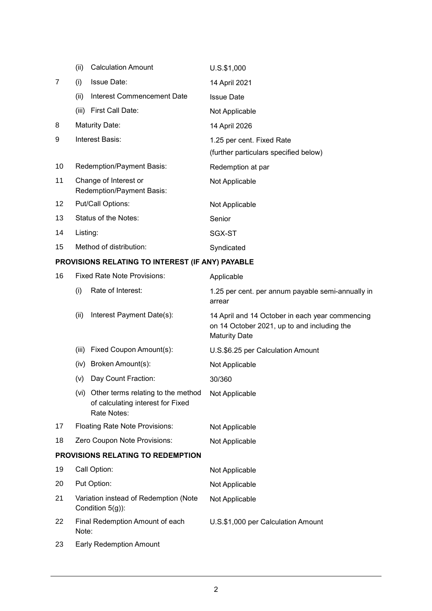|                | (ii)            | <b>Calculation Amount</b>                          | U.S.\$1,000                           |
|----------------|-----------------|----------------------------------------------------|---------------------------------------|
| $\overline{7}$ | (i)             | <b>Issue Date:</b>                                 | 14 April 2021                         |
|                | (ii)            | Interest Commencement Date                         | <b>Issue Date</b>                     |
|                | (iii)           | First Call Date:                                   | Not Applicable                        |
| 8              |                 | <b>Maturity Date:</b>                              | 14 April 2026                         |
| 9              | Interest Basis: |                                                    | 1.25 per cent. Fixed Rate             |
|                |                 |                                                    | (further particulars specified below) |
| 10             |                 | Redemption/Payment Basis:                          | Redemption at par                     |
| 11             |                 | Change of Interest or<br>Redemption/Payment Basis: | Not Applicable                        |
| 12             |                 | Put/Call Options:                                  | Not Applicable                        |
| 13             |                 | Status of the Notes:                               | Senior                                |
| 14             | Listing:        |                                                    | SGX-ST                                |
| 15             |                 | Method of distribution:                            | Syndicated                            |

# **PROVISIONS RELATING TO INTEREST (IF ANY) PAYABLE**

| 16 |                                                           | <b>Fixed Rate Note Provisions:</b>                                                          | Applicable                                                                                                             |
|----|-----------------------------------------------------------|---------------------------------------------------------------------------------------------|------------------------------------------------------------------------------------------------------------------------|
|    | (i)                                                       | Rate of Interest:                                                                           | 1.25 per cent. per annum payable semi-annually in<br>arrear                                                            |
|    | (ii)                                                      | Interest Payment Date(s):                                                                   | 14 April and 14 October in each year commencing<br>on 14 October 2021, up to and including the<br><b>Maturity Date</b> |
|    | (iii)                                                     | Fixed Coupon Amount(s):                                                                     | U.S.\$6.25 per Calculation Amount                                                                                      |
|    | (iv)                                                      | Broken Amount(s):                                                                           | Not Applicable                                                                                                         |
|    | (v)                                                       | Day Count Fraction:                                                                         | 30/360                                                                                                                 |
|    |                                                           | (vi) Other terms relating to the method<br>of calculating interest for Fixed<br>Rate Notes: | Not Applicable                                                                                                         |
| 17 |                                                           | <b>Floating Rate Note Provisions:</b>                                                       | Not Applicable                                                                                                         |
| 18 |                                                           | Zero Coupon Note Provisions:                                                                | Not Applicable                                                                                                         |
|    |                                                           | PROVISIONS RELATING TO REDEMPTION                                                           |                                                                                                                        |
| 19 | Call Option:                                              |                                                                                             | Not Applicable                                                                                                         |
| 20 | Put Option:                                               |                                                                                             | Not Applicable                                                                                                         |
| 21 | Variation instead of Redemption (Note<br>Condition 5(g)): |                                                                                             | Not Applicable                                                                                                         |
| 22 | Note:                                                     | Final Redemption Amount of each                                                             | U.S.\$1,000 per Calculation Amount                                                                                     |
| 23 | <b>Early Redemption Amount</b>                            |                                                                                             |                                                                                                                        |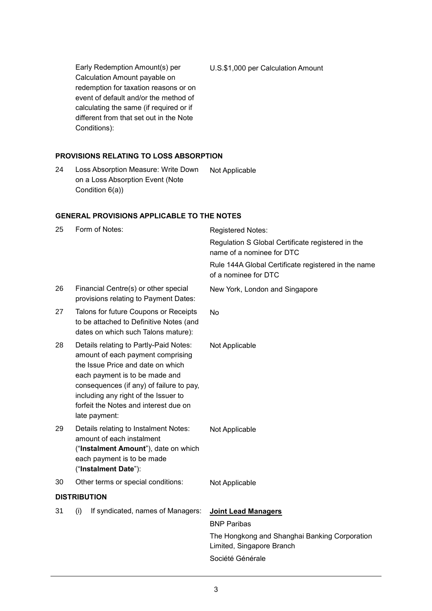Early Redemption Amount(s) per Calculation Amount payable on redemption for taxation reasons or on event of default and/or the method of calculating the same (if required or if different from that set out in the Note Conditions): U.S.\$1,000 per Calculation Amount

### **PROVISIONS RELATING TO LOSS ABSORPTION**

24 Loss Absorption Measure: Write Down on a Loss Absorption Event (Note Condition 6(a)) Not Applicable

### **GENERAL PROVISIONS APPLICABLE TO THE NOTES**

| 25                  | Form of Notes:                                                                                                                                                                                                                                                                                   | <b>Registered Notes:</b>                                                       |  |
|---------------------|--------------------------------------------------------------------------------------------------------------------------------------------------------------------------------------------------------------------------------------------------------------------------------------------------|--------------------------------------------------------------------------------|--|
|                     |                                                                                                                                                                                                                                                                                                  | Regulation S Global Certificate registered in the<br>name of a nominee for DTC |  |
|                     |                                                                                                                                                                                                                                                                                                  | Rule 144A Global Certificate registered in the name<br>of a nominee for DTC    |  |
| 26                  | Financial Centre(s) or other special<br>provisions relating to Payment Dates:                                                                                                                                                                                                                    | New York, London and Singapore                                                 |  |
| 27                  | Talons for future Coupons or Receipts<br>to be attached to Definitive Notes (and<br>dates on which such Talons mature):                                                                                                                                                                          | No                                                                             |  |
| 28                  | Details relating to Partly-Paid Notes:<br>amount of each payment comprising<br>the Issue Price and date on which<br>each payment is to be made and<br>consequences (if any) of failure to pay,<br>including any right of the Issuer to<br>forfeit the Notes and interest due on<br>late payment: | Not Applicable                                                                 |  |
| 29                  | Details relating to Instalment Notes:<br>amount of each instalment<br>("Instalment Amount"), date on which<br>each payment is to be made<br>("Instalment Date"):                                                                                                                                 | Not Applicable                                                                 |  |
| 30                  | Other terms or special conditions:                                                                                                                                                                                                                                                               | Not Applicable                                                                 |  |
| <b>DISTRIBUTION</b> |                                                                                                                                                                                                                                                                                                  |                                                                                |  |
| 31                  | If syndicated, names of Managers:<br>(i)                                                                                                                                                                                                                                                         | <b>Joint Lead Managers</b><br><b>BNP Paribas</b>                               |  |
|                     |                                                                                                                                                                                                                                                                                                  | The Hongkong and Shanghai Banking Corporation<br>Limited, Singapore Branch     |  |
|                     |                                                                                                                                                                                                                                                                                                  | Société Générale                                                               |  |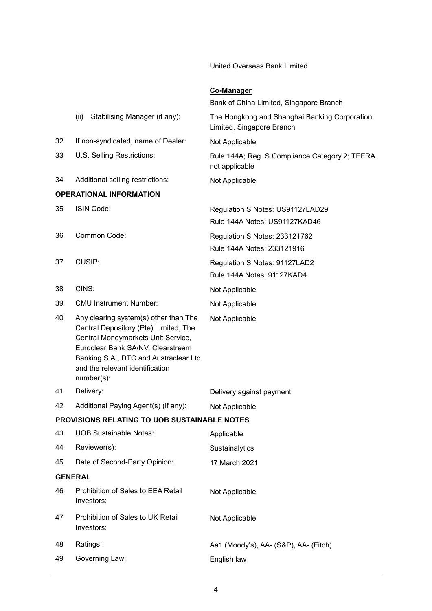United Overseas Bank Limited

# **Co-Manager**

|    |                                                                                                                                                                                                                                                     | Bank of China Limited, Singapore Branch                                    |
|----|-----------------------------------------------------------------------------------------------------------------------------------------------------------------------------------------------------------------------------------------------------|----------------------------------------------------------------------------|
|    | Stabilising Manager (if any):<br>(ii)                                                                                                                                                                                                               | The Hongkong and Shanghai Banking Corporation<br>Limited, Singapore Branch |
| 32 | If non-syndicated, name of Dealer:                                                                                                                                                                                                                  | Not Applicable                                                             |
| 33 | U.S. Selling Restrictions:                                                                                                                                                                                                                          | Rule 144A; Reg. S Compliance Category 2; TEFRA<br>not applicable           |
| 34 | Additional selling restrictions:                                                                                                                                                                                                                    | Not Applicable                                                             |
|    | <b>OPERATIONAL INFORMATION</b>                                                                                                                                                                                                                      |                                                                            |
| 35 | ISIN Code:                                                                                                                                                                                                                                          | Regulation S Notes: US91127LAD29<br>Rule 144A Notes: US91127KAD46          |
| 36 | Common Code:                                                                                                                                                                                                                                        | Regulation S Notes: 233121762<br>Rule 144A Notes: 233121916                |
| 37 | CUSIP:                                                                                                                                                                                                                                              | Regulation S Notes: 91127LAD2                                              |
|    |                                                                                                                                                                                                                                                     | Rule 144A Notes: 91127KAD4                                                 |
| 38 | CINS:                                                                                                                                                                                                                                               | Not Applicable                                                             |
| 39 | <b>CMU Instrument Number:</b>                                                                                                                                                                                                                       | Not Applicable                                                             |
| 40 | Any clearing system(s) other than The<br>Central Depository (Pte) Limited, The<br>Central Moneymarkets Unit Service,<br>Euroclear Bank SA/NV, Clearstream<br>Banking S.A., DTC and Austraclear Ltd<br>and the relevant identification<br>number(s): | Not Applicable                                                             |
| 41 | Delivery:                                                                                                                                                                                                                                           | Delivery against payment                                                   |
| 42 | Additional Paying Agent(s) (if any):                                                                                                                                                                                                                | Not Applicable                                                             |
|    | PROVISIONS RELATING TO UOB SUSTAINABLE NOTES                                                                                                                                                                                                        |                                                                            |
| 43 | <b>UOB Sustainable Notes:</b>                                                                                                                                                                                                                       | Applicable                                                                 |
| 44 | Reviewer(s):                                                                                                                                                                                                                                        | Sustainalytics                                                             |
| 45 | Date of Second-Party Opinion:                                                                                                                                                                                                                       | 17 March 2021                                                              |
|    | <b>GENERAL</b>                                                                                                                                                                                                                                      |                                                                            |
| 46 | Prohibition of Sales to EEA Retail<br>Investors:                                                                                                                                                                                                    | Not Applicable                                                             |
| 47 | Prohibition of Sales to UK Retail<br>Investors:                                                                                                                                                                                                     | Not Applicable                                                             |
| 48 | Ratings:                                                                                                                                                                                                                                            | Aa1 (Moody's), AA- (S&P), AA- (Fitch)                                      |
| 49 | Governing Law:                                                                                                                                                                                                                                      | English law                                                                |
|    |                                                                                                                                                                                                                                                     |                                                                            |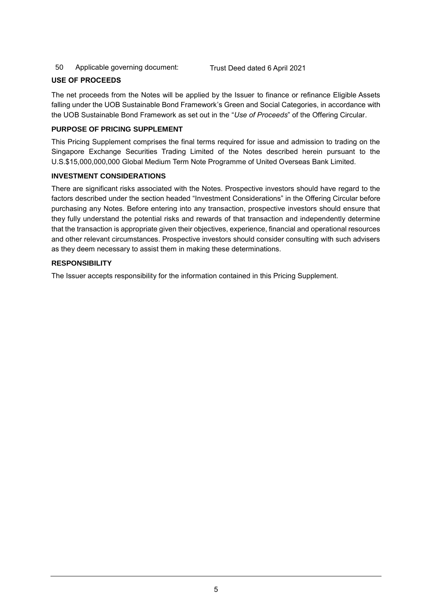50 Applicable governing document: Trust Deed dated 6 April 2021

# **USE OF PROCEEDS**

The net proceeds from the Notes will be applied by the Issuer to finance or refinance Eligible Assets falling under the UOB Sustainable Bond Framework's Green and Social Categories, in accordance with the UOB Sustainable Bond Framework as set out in the "*Use of Proceeds*" of the Offering Circular.

# **PURPOSE OF PRICING SUPPLEMENT**

This Pricing Supplement comprises the final terms required for issue and admission to trading on the Singapore Exchange Securities Trading Limited of the Notes described herein pursuant to the U.S.\$15,000,000,000 Global Medium Term Note Programme of United Overseas Bank Limited.

# **INVESTMENT CONSIDERATIONS**

There are significant risks associated with the Notes. Prospective investors should have regard to the factors described under the section headed "Investment Considerations" in the Offering Circular before purchasing any Notes. Before entering into any transaction, prospective investors should ensure that they fully understand the potential risks and rewards of that transaction and independently determine that the transaction is appropriate given their objectives, experience, financial and operational resources and other relevant circumstances. Prospective investors should consider consulting with such advisers as they deem necessary to assist them in making these determinations.

# **RESPONSIBILITY**

The Issuer accepts responsibility for the information contained in this Pricing Supplement.